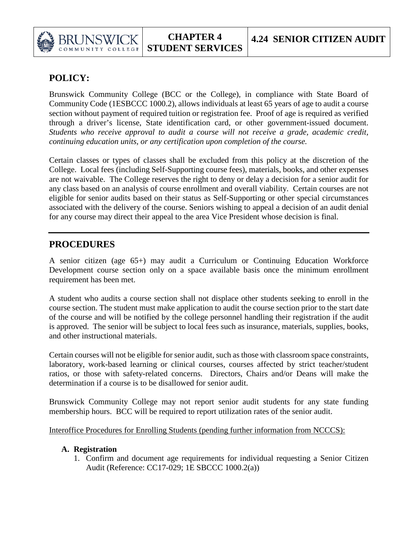

# **POLICY:**

COLLEGE

Brunswick Community College (BCC or the College), in compliance with State Board of Community Code (1ESBCCC 1000.2), allows individuals at least 65 years of age to audit a course section without payment of required tuition or registration fee. Proof of age is required as verified through a driver's license, State identification card, or other government-issued document. *Students who receive approval to audit a course will not receive a grade, academic credit, continuing education units, or any certification upon completion of the course.* 

Certain classes or types of classes shall be excluded from this policy at the discretion of the College. Local fees (including Self-Supporting course fees), materials, books, and other expenses are not waivable. The College reserves the right to deny or delay a decision for a senior audit for any class based on an analysis of course enrollment and overall viability. Certain courses are not eligible for senior audits based on their status as Self-Supporting or other special circumstances associated with the delivery of the course. Seniors wishing to appeal a decision of an audit denial for any course may direct their appeal to the area Vice President whose decision is final.

# **PROCEDURES**

A senior citizen (age 65+) may audit a Curriculum or Continuing Education Workforce Development course section only on a space available basis once the minimum enrollment requirement has been met.

A student who audits a course section shall not displace other students seeking to enroll in the course section. The student must make application to audit the course section prior to the start date of the course and will be notified by the college personnel handling their registration if the audit is approved. The senior will be subject to local fees such as insurance, materials, supplies, books, and other instructional materials.

Certain courses will not be eligible for senior audit, such as those with classroom space constraints, laboratory, work-based learning or clinical courses, courses affected by strict teacher/student ratios, or those with safety-related concerns. Directors, Chairs and/or Deans will make the determination if a course is to be disallowed for senior audit.

Brunswick Community College may not report senior audit students for any state funding membership hours. BCC will be required to report utilization rates of the senior audit.

Interoffice Procedures for Enrolling Students (pending further information from NCCCS):

## **A. Registration**

1. Confirm and document age requirements for individual requesting a Senior Citizen Audit (Reference: CC17-029; 1E SBCCC 1000.2(a))